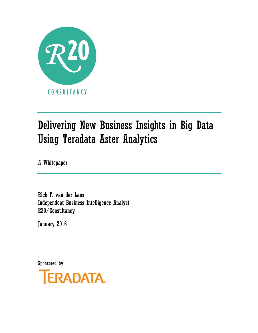

# Delivering New Business Insights in Big Data Using Teradata Aster Analytics

A Whitepaper

Rick F. van der Lans Independent Business Intelligence Analyst R20/Consultancy

January 2016

Sponsored by

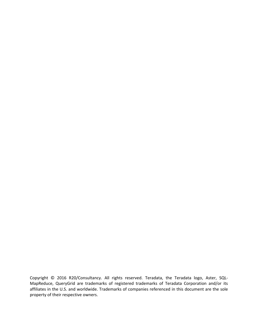Copyright © 2016 R20/Consultancy. All rights reserved. Teradata, the Teradata logo, Aster, SQL‐ MapReduce, QueryGrid are trademarks of registered trademarks of Teradata Corporation and/or its affiliates in the U.S. and worldwide. Trademarks of companies referenced in this document are the sole property of their respective owners.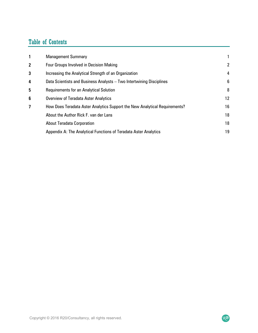# Table of Contents

| $\mathbf{1}$     | <b>Management Summary</b>                                                  |              |
|------------------|----------------------------------------------------------------------------|--------------|
| $\boldsymbol{2}$ | <b>Four Groups Involved in Decision Making</b>                             | $\mathbf{2}$ |
| 3                | Increasing the Analytical Strength of an Organization                      | 4            |
| 4                | Data Scientists and Business Analysts - Two Intertwining Disciplines       | 6            |
| 5                | <b>Requirements for an Analytical Solution</b>                             | 8            |
| 6                | <b>Overview of Teradata Aster Analytics</b>                                | 12           |
| 7                | How Does Teradata Aster Analytics Support the New Analytical Requirements? | 16           |
|                  | About the Author Rick F. van der Lans                                      | 18           |
|                  | <b>About Teradata Corporation</b>                                          | 18           |
|                  | Appendix A: The Analytical Functions of Teradata Aster Analytics           | 19           |

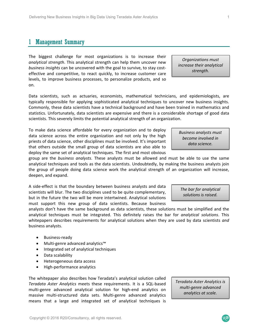#### 1 Management Summary

The biggest challenge for most organizations is to increase their *analytical strength*. This analytical strength can help them uncover new *business insights* can be uncovered with the goal to survive, to stay cost‐ effective and competitive, to react quickly, to increase customer care levels, to improve business processes, to personalize products, and so on.

Data scientists, such as actuaries, economists, mathematical technicians, and epidemiologists, are typically responsible for applying sophisticated analytical techniques to uncover new business insights. Commonly, these data scientists have a technical background and have been trained in mathematics and statistics. Unfortunately, data scientists are expensive and there is a considerable shortage of good data scientists. This severely limits the potential analytical strength of an organization.

To make data science affordable for every organization and to deploy data science across the entire organization and not only by the high priests of data science, other disciplines must be involved. It's important that others outside the small group of data scientists are also able to deploy the same set of analytical techniques. The first and most obvious

group are the *business analysts*. These analysts must be allowed and must be able to use the same analytical techniques and tools as the data scientists. Undoubtedly, by making the business analysts join the group of people doing data science work the analytical strength of an organization will increase, deepen, and expand.

A side‐effect is that the boundary between business analysts and data scientists will blur. The two disciplines used to be quite complementary, but in the future the two will be more intertwined. Analytical solutions must support this new group of data scientists. Because business

analysts don't have the same background as data scientists, these solutions must be simplified and the analytical techniques must be integrated. This definitely raises the bar for *analytical solutions*. This whitepapers describes requirements for analytical solutions when they are used by data scientists *and* business analysts.

- Business‐ready
- Multi‐genre advanced analytics™
- Integrated set of analytical techniques
- Data scalability
- Heterogeneous data access
- High‐performance analytics

The whitepaper also describes how Teradata's analytical solution called *Teradata Aster Analytics* meets these requirements. It is a SQL‐based multi-genre advanced analytical solution for high-end analytics on massive multi‐structured data sets. Multi‐genre advanced analytics means that a large and integrated set of analytical techniques is

*Teradata Aster Analytics is multi‐genre advanced analytics at scale.* 

*Business analysts must become involved in data science.* 

*Organizations must increase their analytical strength.* 

*The bar for analytical solutions is raised.*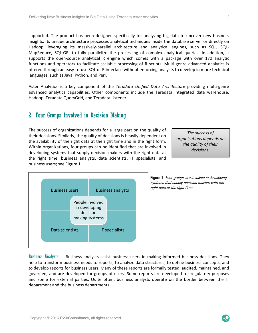supported. The product has been designed specifically for analyzing big data to uncover new business insights. Its unique architecture processes analytical techniques inside the database server or directly on Hadoop, leveraging its massively-parallel architecture and analytical engines, such as SQL, SQL-MapReduce, SQL-GR, to fully parallelize the processing of complex analytical queries. In addition, it supports the open-source analytical R engine which comes with a package with over 170 analytic functions and operators to facilitate scalable processing of R scripts. Multi-genre advanced analytics is offered through an easy‐to‐use SQL or R interface without enforcing analysts to develop in more technical languages, such as Java, Python, and Perl.

Aster Analytics is a key component of the *Teradata Unified Data Architecture*  providing multi‐genre advanced analytics capabilities. Other components include the Teradata integrated data warehouse, Hadoop, Teradata QueryGrid, and Teradata Listener.

#### 2 Four Groups Involved in Decision Making

The success of organizations depends for a large part on the quality of their decisions. Similarly, the quality of decisions is heavily dependent on the availability of the right data at the right time and in the right form. Within organizations, four groups can be identified that are involved in developing systems that supply decision makers with the right data at the right time: business analysts, data scientists, IT specialists, and business users; see Figure 1.

*The success of organizations depends on the quality of their decisions.* 



Figure 1 Four groups are involved in developing systems that supply decision makers with the right data at the right time.

Business Analysts – Business analysts assist business users in making informed business decisions. They help to transform business needs to reports, to analyze data structures, to define business concepts, and to develop reports for business users. Many of these reports are formally tested, audited, maintained, and governed, and are developed for groups of users. Some reports are developed for regulatory purposes and some for external parties. Quite often, business analysts operate on the border between the IT department and the business departments.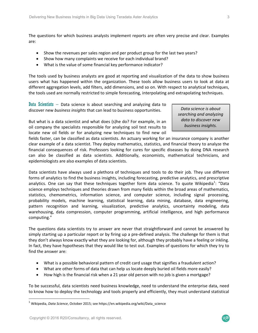The questions for which business analysts implement reports are often very precise and clear. Examples are:

- Show the revenues per sales region and per product group for the last two years?
- Show how many complaints we receive for each individual brand?
- What is the value of some financial key performance indicator?

The tools used by business analysts are good at reporting and visualization of the data to show business users what has happened within the organization. These tools allow business users to look at data at different aggregation levels, add filters, add dimensions, and so on. With respect to analytical techniques, the tools used are normally restricted to simple forecasting, interpolating and extrapolating techniques.

Data Scientists  $-$  Data science is about searching and analyzing data to discover new *business insights* that can lead to business opportunities.

*Data science is about searching and analyzing data to discover new business insights.* 

But what is a data scientist and what does (s)he do? For example, in an oil company the specialists responsible for analyzing soil test results to locate new oil fields or for analyzing new techniques to find new oil

fields faster, can be classified as data scientists. An actuary working for an insurance company is another clear example of a data scientist. They deploy mathematics, statistics, and financial theory to analyze the financial consequences of risk. Professors looking for cures for specific diseases by doing DNA research can also be classified as data scientists. Additionally, economists, mathematical technicians, and epidemiologists are also examples of data scientists.

Data scientists have always used a plethora of techniques and tools to do their job. They use different forms of analytics to find the business insights, including forecasting, predictive analytics, and prescriptive analytics. One can say that these techniques together form data science. To quote Wikipedia<sup>1</sup>: "Data science employs techniques and theories drawn from many fields within the broad areas of mathematics, statistics, chemometrics, information science, and computer science, including signal processing, probability models, machine learning, statistical learning, data mining, database, data engineering, pattern recognition and learning, visualization, predictive analytics, uncertainty modeling, data warehousing, data compression, computer programming, artificial intelligence, and high performance computing."

The questions data scientists try to answer are never that straightforward and cannot be answered by simply starting up a particular report or by firing up a pre-defined analysis. The challenge for them is that they don't always know exactly what they are looking for, although they probably have a feeling or inkling. In fact, they have hypotheses that they would like to test out. Examples of questions for which they try to find the answer are:

- What is a possible behavioral pattern of credit card usage that signifies a fraudulent action?
- What are other forms of data that can help us locate deeply buried oil fields more easily?
- How high is the financial risk when a 21 year old person with no job is given a mortgage?

To be successful, data scientists need business knowledge, need to understand the enterprise data, need to know how to deploy the technology and tools properly and efficiently, they must understand statistical

 $\mathcal{R}$ 20

<sup>1</sup> Wikipedia, *Data Science*, October 2015; see https://en.wikipedia.org/wiki/Data\_science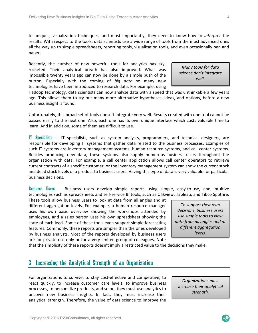techniques, visualization techniques, and most importantly, they need to know how to *interpret* the results. With respect to the tools, data scientists use a wide range of tools from the most advanced ones all the way up to simple spreadsheets, reporting tools, visualization tools, and even occasionally pen and paper.

Recently, the number of new powerful tools for analytics has skyrocketed. Their analytical breath has also improved. What was impossible twenty years ago can now be done by a simple push of the button. Especially with the coming of *big data* so many new technologies have been introduced to research data. For example, using

*Many tools for data science don't integrate well.* 

Hadoop technology, data scientists can now analyze data with a speed that was unthinkable a few years ago. This allows them to try out many more alternative hypotheses, ideas, and options, before a new business insight is found.

Unfortunately, this broad set of tools doesn't integrate very well. Results created with one tool cannot be passed easily to the next one. Also, each one has its own unique interface which costs valuable time to learn. And in addition, some of them are difficult to use.

IT Specialists – IT specialists, such as system analysts, programmers, and technical designers, are responsible for developing IT systems that gather data related to the business processes. Examples of such IT systems are inventory management systems, human resource systems, and call center systems. Besides producing new data, these systems also supply numerous business users throughout the organization with data. For example, a call center application allows call center operators to retrieve current contracts of a specific customer, or the inventory management system can show the current stock and dead stock levels of a product to business users. Having this type of data is very valuable for particular business decisions.

Business Users – Business users develop simple reports using simple, easy-to-use, and intuitive technologies such as spreadsheets and self‐service BI tools, such as Qlikview, Tableau, and Tibco Spotfire.

These tools allow business users to look at data from all angles and at different aggregation levels. For example, a human resource manager uses his own basic overview showing the workshops attended by employees, and a sales person uses his own spreadsheet showing the state of each lead. Some of these tools even support simple forecasting features. Commonly, these reports are simpler than the ones developed by business analysts. Most of the reports developed by business users are for private use only or for a very limited group of colleagues. Note

*To support their own decisions, business users use simple tools to view data from all angles and at different aggregation levels.* 

that the simplicity of these reports doesn't imply a restricted value to the decisions they make.

#### 3 Increasing the Analytical Strength of an Organization

For organizations to survive, to stay cost-effective and competitive, to react quickly, to increase customer care levels, to improve business processes, to personalize products, and so on, they must use analytics to uncover new business insights. In fact, they must increase their analytical strength. Therefore, the value of data science to improve the

*Organizations must increase their analytical strength.*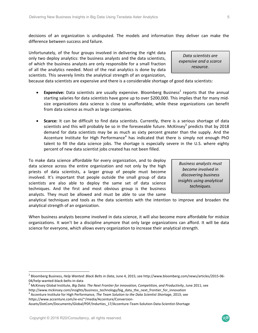decisions of an organization is undisputed. The models and information they deliver can make the difference between success and failure.

Unfortunately, of the four groups involved in delivering the right data only two deploy analytics: the business analysts and the data scientists, of which the business analysts are only responsible for a small fraction of all the analytics needed. Most of the real analytics is done by data scientists. This severely limits the analytical strength of an organization,

because data scientists are expensive and there is a considerable shortage of good data scientists:

- Expensive: Data scientists are usually expensive. Bloomberg Business<sup>2</sup> reports that the annual starting salaries for data scientists have gone up to over \$200,000. This implies that for many mid‐ size organizations data science is close to unaffordable, while these organizations can benefit from data science as much as large companies.
- **Scarce:** It can be difficult to find data scientists. Currently, there is a serious shortage of data scientists and this will probably be so in the foreseeable future. McKinsey<sup>3</sup> predicts that by 2018 demand for data scientists may be as much as sixty percent greater than the supply. And the Accenture Institute for High Performance<sup>4</sup> has indicated that there is simply not enough PhD talent to fill the data science jobs. The shortage is especially severe in the U.S. where eighty percent of new data scientist jobs created has not been filled.

To make data science affordable for every organization, and to deploy data science across the entire organization and not only by the high priests of data scientists, a larger group of people must become involved. It's important that people outside the small group of data scientists are also able to deploy the same set of data science techniques. And the first and most obvious group is the business analysts. They must be allowed and must be able to use the same

*Business analysts must become involved in discovering business insights using analytical techniques.* 

*Data scientists are expensive and a scarce resource.* 

analytical techniques and tools as the data scientists with the intention to improve and broaden the analytical strength of an organization.

When business analysts become involved in data science, it will also become more affordable for midsize organizations. It won't be a discipline anymore that only large organizations can afford. It will be data science for everyone, which allows every organization to increase their analytical strength.

Assets/DotCom/Documents/Global/PDF/Indurties\_17/Accenture‐Team‐Solution‐Data‐Scientist‐Shortage

<sup>2</sup> Bloomberg Business, *Help Wanted: Black Belts in Data*, June 4, 2015; see http://www.bloomberg.com/news/articles/2015‐06‐ 04/help‐wanted‐black‐belts‐in‐data

<sup>3</sup> McKinsey Global Institute, *Big Data: The Next Frontier for innovation, Competition, and Productivity*, June 2011; see http://www.mckinsey.com/insights/business\_technology/big\_data\_the\_next\_frontier\_for\_innovation

Accenture Institute for High Performance, *The Team Solution to the Data Scientist Shortage*, 2013; see https://www.accenture.com/ie-en/~/media/Accenture/Conversion-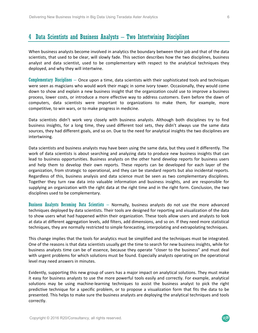### 4 Data Scientists and Business Analysts – Two Intertwining Disciplines

When business analysts become involved in analytics the boundary between their job and that of the data scientists, that used to be clear, will slowly fade. This section describes how the two disciplines, business analyst and data scientist, used to be complementary with respect to the analytical techniques they deployed, and why they will intertwine.

Complementary Disciplines – Once upon a time, data scientists with their sophisticated tools and techniques were seen as magicians who would work their magic in some ivory tower. Occasionally, they would come down to show and explain a new business insight that the organization could use to improve a business process, lower costs, or introduce a more effective way to address customers. Even before the dawn of computers, data scientists were important to organizations to make them, for example, more competitive, to win wars, or to make progress in medicine.

Data scientists didn't work very closely with business analysts. Although both disciplines try to find business insights, for a long time, they used different tool sets, they didn't always use the same data sources, they had different goals, and so on. Due to the need for analytical insights the two disciplines are intertwining.

Data scientists and business analysts may have been using the same data, but they used it differently. The work of data scientists is about searching and analyzing data to produce new business insights that can lead to business opportunities. Business analysts on the other hand develop reports for business users and help them to develop their own reports. These reports can be developed for each layer of the organization, from strategic to operational, and they can be standard reports but also incidental reports. Regardless of this, business analysis and data science must be seen as two complementary disciplines. Together they turn raw data into valuable information and business insights, and are responsible for supplying an organization with the right data at the right time and in the right form. Conclusion, the two disciplines used to be complementary.

Business Analysts Becoming Data Scientists – Normally, business analysts do not use the more advanced techniques deployed by data scientists. Their tools are designed for reporting and visualization of the data to show users what had happened within their organization. These tools allow users and analysts to look at data at different aggregation levels, add filters, add dimensions, and so on. If they need more statistical techniques, they are normally restricted to simple forecasting, interpolating and extrapolating techniques.

This change implies that the tools for analytics must be simplified and the techniques must be integrated. One of the reasons is that data scientists usually get the time to search for new business insights, while for business analysts time can be of essence, because they operate "closer to the business" and must deal with urgent problems for which solutions must be found. Especially analysts operating on the operational level may need answers in minutes.

Evidently, supporting this new group of users has a major impact on analytical solutions. They must make it easy for business analysts to use the more powerful tools easily and correctly. For example, analytical solutions may be using machine-learning techniques to assist the business analyst to pick the right predictive technique for a specific problem, or to propose a visualization form that fits the data to be presented. This helps to make sure the business analysts are deploying the analytical techniques and tools correctly.

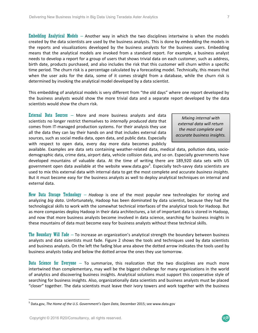Embedding Analytical Models  $-$  Another way in which the two disciplines intertwine is when the models created by the data scientists are used by the business analysts. This is done by *embedding* the models in the reports and visualizations developed by the business analysts for the business users. Embedding means that the analytical models are invoked from a standard report. For example, a business analyst needs to develop a report for a group of users that shows trivial data on each customer, such as address, birth date, products purchased, and also includes the risk that this customer will churn within a specific time period. The churn risk is a percentage calculated by a forecasting model. Technically, this means that when the user asks for the data, some of it comes straight from a database, while the churn risk is determined by invoking the analytical model developed by a data scientist.

This embedding of analytical models is very different from "the old days" where one report developed by the business analysts would show the more trivial data and a separate report developed by the data scientists would show the churn risk.

External Data Sources – More and more business analysts and data scientists no longer restrict themselves to *internally produced data* that comes from IT‐managed production systems. For their analysis they use all the data they can lay their hands on and that includes external data sources, such as social media data, open data, and public data. Especially with respect to open data, every day more data becomes publicly

*Mixing internal with external data will return the most complete and accurate business insights.* 

available. Examples are data sets containing weather-related data, medical data, pollution data, sociodemographic data, crime data, airport data, vehicle collision data, and so on. Especially governments have developed mountains of valuable data. At the time of writing there are 189,920 data sets with US government open data available at the website www.data.gov<sup>5</sup>. Especially tech-savvy data scientists are used to mix this external data with internal data to get the most complete and accurate *business insights*. But it must become easy for the business analysts as well to deploy analytical techniques on internal and external data.

New Data Storage Technology – *Hadoop* is one of the most popular new technologies for storing and analyzing *big data*. Unfortunately, Hadoop has been dominated by data scientist, because they had the technological skills to work with the somewhat technical interfaces of the analytical tools for Hadoop. But as more companies deploy Hadoop in their data architectures, a lot of important data is stored in Hadoop, and now that more business analysts become involved in data science, searching for business insights in these mountains of data must become easy for business analysts without these technical skills.

The Boundary Will Fade – To increase an organization's analytical strength the boundary between business analysts and data scientists must fade. Figure 2 shows the tools and techniques used by data scientists and business analysts. On the left the fading blue area above the dotted arrow indicates the tools used by business analysts today and below the dotted arrow the ones they use tomorrow.

Data Science for Everyone – To summarize, this realization that the two disciplines are much more intertwined than complementary, may well be the biggest challenge for many organizations in the world of analytics and discovering business insights. Analytical solutions must support this cooperative style of searching for business insights. Also, organizationally data scientists and business analysts must be placed "closer" together. The data scientists must leave their ivory towers and work together with the business

 $\mathcal{R}$ 20

<sup>5</sup> Data.gov, *The Home of the U.S. Government's Open Data*, December 2015; see www.data.gov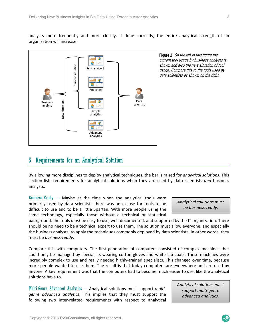analysts more frequently and more closely. If done correctly, the entire analytical strength of an organization will increase.



Figure 2 On the left in this figure the current tool usage by business analysts is shown and also the new situation of tool usage. Compare this to the tools used by data scientists as shown on the right.

#### 5 Requirements for an Analytical Solution

By allowing more disciplines to deploy analytical techniques, the bar is raised for *analytical solutions*. This section lists requirements for analytical solutions when they are used by data scientists *and* business analysts.

Business-Ready – Maybe at the  $time$  when the analytical tools were primarily used by data scientists there was an excuse for tools to be difficult to use and to be a little Spartan. With more people using the same technology, especially those without a technical or statistical

*Analytical solutions must be business‐ready.* 

background, the tools *must* be easy to use, well‐documented, and supported by the IT organization. There should be no need to be a technical expert to use them. The solution must allow everyone, and especially the business analysts, to apply the techniques commonly deployed by data scientists. In other words, they must be *business‐ready*.

Compare this with computers. The first generation of computers consisted of complex machines that could only be managed by specialists wearing cotton gloves and white lab coats. These machines were incredibly complex to use and really needed highly‐trained specialists. This changed over time, because more people wanted to use them. The result is that today computers are everywhere and are used by anyone. A key requirement was that the computers had to become much easier to use, like the analytical solutions have to.

Multi-Genre Advanced Analytics – Analytical solutions must support *multi‐ genre advanced analytics*. This implies that they must support the following two inter-related requirements with respect to analytical *Analytical solutions must support multi‐genre advanced analytics.* 

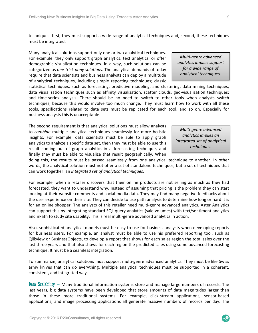result coming out of graph analytics in a forecasting technique, and finally they must be able to visualize that result geographically. When doing this, the results must be passed seamlessly from one analytical technique to another. In other words, the analytical solution must not offer a set of standalone techniques, but a set of techniques that *techniques.* 

can work together: an *integrated set of analytical techniques*. For example, when a retailer discovers that their online products are not selling as much as they had

forecasted, they want to understand why. Instead of assuming that pricing is the problem they can start looking at their website comments and social media data. They may find many negative feedbacks about the user experience on their site. They can decide to use path analysis to determine how long or hard it is for an online shopper. The analysts of this retailer need multi-genre advanced analytics. Aster Analytics can support this by integrating standard SQL query analytics (sale volumes) with text/sentiment analytics and nPath to study site usability. This is real multi‐genre advanced analytics in action.

Also, sophisticated analytical models must be easy to use for business analysts when developing reports for business users. For example, an analyst must be able to use his preferred reporting tool, such as Qlikview or BusinessObjects, to develop a report that shows for each sales region the total sales over the last three years and that also shows for each region the predicted sales using some advanced forecasting technique. It must be a seamless integration.

To summarize, analytical solutions must support multi‐genre advanced analytics. They must be like Swiss army knives that can do everything. Multiple analytical techniques must be supported in a coherent, consistent, and integrated way.

Data Scalability – Many traditional information systems store and manage large numbers of records. The last years, big data systems have been developed that store amounts of data magnitudes larger than those in these more traditional systems. For example, click-stream applications, sensor-based applications, and image processing applications all generate massive numbers of records per day. The

techniques: first, they must support a wide range of analytical techniques and, second, these techniques must be integrated.

Many analytical solutions support only one or two analytical techniques. For example, they only support graph analytics, text analytics, or offer demographic visualization techniques. In a way, such solutions can be categorized as *one‐trick pony solutions*. The analytical demands of today require that data scientists and business analysts can deploy a multitude of analytical techniques, including simple reporting techniques; classic

statistical techniques, such as forecasting, predictive modeling, and clustering; data mining techniques; data visualization techniques such as affinity visualization, scatter clouds, geo-visualization techniques; and time-series analysis. There should be no need to switch to other tools when analysts switch techniques, because this would involve too much change. They must learn how to work with all these tools, specifications related to data sets must be replicated for each tool, and so on. Especially for business analysts this is unacceptable.

The second requirement is that analytical solutions must allow analysts to *combine* multiple analytical techniques seamlessly for more holistic insights. For example, data scientists must be able to apply graph analytics to analyze a specific data set, then they must be able to use this

*Multi‐genre advanced analytics implies support for a wide range of analytical techniques.* 

*Multi‐genre advanced analytics implies an integrated set of analytical* 

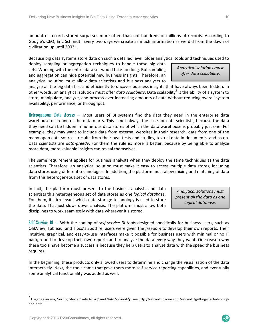amount of records stored surpasses more often than not hundreds of millions of records. According to Google's CEO, Eric Schmidt "Every two days we create as much information as we did from the dawn of civilization up until 2003".

Because big data systems store data on such a detailed level, older analytical tools and techniques used to

deploy sampling or aggregation techniques to handle these big data sets. Working with the entire data set would take too long. But sampling and aggregation can hide potential new business insights. Therefore, an analytical solution must allow data scientists and business analysts to

*Analytical solutions must offer data scalability.* 

analyze all the big data fast and efficiently to uncover business insights that have always been hidden. In other words, an analytical solution must offer *data scalability*. Data scalability<sup>6</sup> is the ability of a system to store, manipulate, analyze, and process ever increasing amounts of data without reducing overall system availability, performance, or throughput.

Heterogeneous Data Access  $-$  Most users of BI systems find the data they need in the enterprise data warehouse or in one of the data marts. This is not always the case for data scientists, because the data they need can be hidden in numerous data stores of which the data warehouse is probably just one. For example, they may want to include data from external websites in their research, data from one of the many open data sources, results from their own tests and studies, textual data in documents, and so on. Data scientists are *data-greedy*. For them the rule is: more is better, because by being able to analyze more data, more valuable insights can reveal themselves.

The same requirement applies for business analysts when they deploy the same techniques as the data scientists. Therefore, an analytical solution must make it easy to access multiple data stores, including data stores using different technologies. In addition, the platform must allow mixing and matching of data from this heterogeneous set of data stores.

In fact, the platform must present to the business analysts and data scientists this heterogeneous set of data stores as one *logical database*. For them, it's irrelevant which data storage technology is used to store the data. That just slows down analysis. The platform must allow both disciplines to work seamlessly with data wherever it's stored.

*Analytical solutions must present all the data as one logical database.* 

Self-Service BI – With the coming of *self‐service BI tools* designed specifically for business users, such as QlikView, Tableau, and Tibco's Spotfire, users were given the *freedom* to develop their own reports. Their intuitive, graphical, and easy‐to‐use interfaces make it possible for business users with minimal or no IT background to develop their own reports and to analyze the data every way they want. One reason why these tools have become a success is because they help users to analyze data with the speed the business requires.

In the beginning, these products only allowed users to determine and change the visualization of the data interactively. Next, the tools came that gave them more self-service reporting capabilities, and eventually some analytical functionality was added as well.

<sup>6</sup> Eugene Ciurana, *Getting Started with NoSQL and Data Scalability*, see http://refcardz.dzone.com/refcardz/getting‐started‐nosql‐ and‐data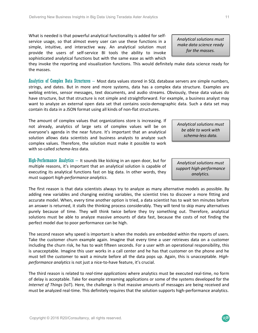must support *high‐performance analytics*.

Copyright © 2016 R20/Consultancy, all rights reserved.

*performance analytics* is not just a nice‐to‐have feature, it's crucial.

 $High-Performance$  Analytics  $-$  It sounds like kicking in an open door, but for multiple reasons, it's important that an analytical solution is capable of executing its analytical functions fast on big data. In other words, they

The first reason is that data scientists always try to analyze as many alternative models as possible. By adding new variables and changing existing variables, the scientist tries to discover a more fitting and accurate model. When, every time another option is tried, a data scientist has to wait ten minutes before an answer is returned, it stalls the thinking process considerably. They will tend to skip many alternatives purely because of time. They will think twice before they try something out. Therefore, analytical solutions must be able to analyze massive amounts of data fast, because the costs of not finding the perfect model due to poor performance can be high.

The second reason why speed is important is when the models are embedded within the reports of users. Take the customer churn example again. Imagine that every time a user retrieves data on a customer including the churn risk, he has to wait fifteen seconds. For a user with an operational responsibility, this is unacceptable. Imagine this user works in a call center and he has that customer on the phone and he must tell the customer to wait a minute before all the data pops up. Again, this is unacceptable. *High‐*

The third reason is related to *real‐time applications* where analytics must be executed real‐time, no form of delay is acceptable. Take for example streaming applications or some of the systems developed for the *Internet of Things* (IoT). Here, the challenge is that massive amounts of messages are being received and must be analyzed real‐time. This definitely requires that the solution supports high‐performance analytics.

The amount of complex values that organizations store is increasing. If not already, analytics of large sets of complex values will be on everyone's agenda in the near future. It's important that an analytical solution allows data scientists and business analysts to analyze such complex values. Therefore, the solution must make it possible to work with so‐called *schema‐less* data.

service usage, so that almost every user can use these functions in a simple, intuitive, and interactive way. An analytical solution must provide the users of self‐service BI tools the ability to invoke sophisticated analytical functions but with the same ease as with which

they invoke the reporting and visualization functions. This would definitely make data science ready for the masses.

Analytics of Complex Data Structures – Most data values stored in SQL database servers are simple numbers, strings, and dates. But in more and more systems, data has a complex data structure. Examples are weblog entries, sensor messages, text documents, and audio streams. Obviously, these data values do have structure, but that structure is not simple and straightforward. For example, a business analyst may want to analyze an external open data set that contains socio-demographic data. Such a data set may contain its data in a JSON format using all kinds of non‐flat structures.

What is needed is that powerful analytical functionality is added for self-

*Analytical solutions must be able to work with schema‐less data.* 

*Analytical solutions must support high‐performance analytics.* 

*Analytical solutions must make data science ready for the masses.*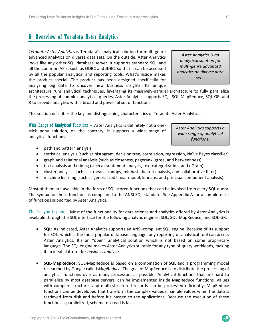### 6 Overview of Teradata Aster Analytics

*Teradata Aster Analytics* is Teradata's analytical solution for multi‐genre advanced analytics on diverse data sets. On the outside, Aster Analytics looks like any other SQL database server. It supports standard SQL and all the common APIs, such as ODBC and JDBC, so that it can be accessed by all the popular analytical and reporting tools. What's inside makes the product special. The product has been designed specifically for analyzing big data to uncover new business insights. Its unique

*Aster Analytics is an analytical solution for multi‐genre advanced analytics on diverse data sets.* 

architecture runs analytical techniques, leveraging its massively-parallel architecture to fully parallelize the processing of complex analytical queries. Aster Analytics supports SQL, SQL‐MapReduce, SQL‐GR, and R to provide analytics with a broad and powerful set of functions.

This section describes the key and distinguishing characteristics of Teradata Aster Analytics.

Wide Range of Analytical Functions – Aster Analytics is definitely not a onetrick pony solution, on the contrary, it supports a wide range of analytical functions:

*Aster Analytics supports a wide range of analytical functions.* 

- path and pattern analysis
- statistical analysis (such as histogram, decision tree, correlation, regression, Naïve Bayes classifier)
- graph and relational analysis (such as closeness, pagerank, gtree, and betweenness)
- text analysis and mining (such as sentiment analysis, text categorization, and nGram)
- cluster analysis (such as k‐means, canopy, minhash, basket analysis, and collaborative filter)
- machine learning (such as generalized linear model, kmeans, and principal component analysis)

Most of them are available in the form of SQL stored functions that can be invoked from every SQL query. The syntax for these functions is compliant to the ANSI SQL standard. See Appendix A for a complete list of functions supported by Aster Analytics.

The Analytic Engines – Most of the functionality for data science and analytics offered by Aster Analytics is available through the SQL interface for the following analytic engines: SQL, SQL‐MapReduce, and SQL‐GR.

- **SQL:** As indicated, Aster Analytics supports an ANSI‐compliant SQL engine. Because of its support for SQL, which is the most popular database language, any reporting or analytical tool can access Aster Analytics. It's an "open" analytical solution which is not based on some proprietary language. The SQL engine makes Aster Analytics suitable for any type of query workloads, making it an ideal platform for *business analysts.*
- **SQL‐MapReduce:** SQL‐MapReduce is based on a combination of SQL and a programming model researched by Google called *MapReduce*. The goal of MapReduce is to distribute the processing of analytical functions over as many processors as possible. Analytical functions that are hard to parallelize by most database servers, can be implemented inside MapReduce functions. Values with complex structures and multi-structured records can be processed efficiently. MapReduce functions can be developed that transform the complex values in simple values when the data is retrieved from disk and before it's passed to the applications. Because the execution of these functions is parallelized, schema‐on‐read is fast.

 $\mathcal{R}$ 20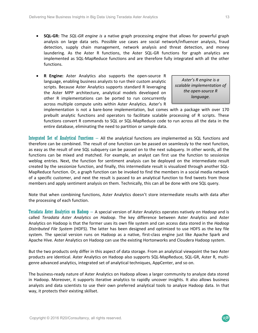- **SQL-GR:** The *SQL-GR engine is* a native graph processing engine that allows for powerful graph analysis on large data sets. Possible use cases are social network/influencer analysis, fraud detection, supply chain management, network analysis and threat detection, and money laundering. As the Aster R functions, the Aster SQL-GR functions for graph analytics are implemented as SQL‐MapReduce functions and are therefore fully integrated with all the other functions.
- **R Engine:** Aster Analytics also supports the open‐source R language, enabling business analysts to run their custom analytic scripts. Because Aster Analytics supports standard R leveraging the Aster MPP architecture, analytical models developed on other R implementations can be ported to run concurrently across multiple compute units within Aster Analytics. Aster's R

*Aster's R engine is a scalable implementation of the open‐source R language.* 

implementation is not a bare-bone implementation, but comes with a package with over 170 prebuilt analytic functions and operators to facilitate scalable processing of R scripts. These functions convert R commands to SQL or SQL‐MapReduce code to run across all the data in the entire database, eliminating the need to partition or sample data.

Integrated Set of Analytical Functions – All the analytical functions are implemented as SQL functions and therefore can be combined. The result of one function can be passed on seamlessly to the next function, as easy as the result of one SQL subquery can be passed on to the next subquery. In other words, all the functions can be mixed and matched. For example, an analyst can first use the function to sessionize weblog entries. Next, the function for sentiment analysis can be deployed on the intermediate result created by the sessionize function, and finally, this intermediate result is visualized through another SQL‐ MapReduce function. Or, a graph function can be invoked to find the members in a social media network of a specific customer, and next the result is passed to an analytical function to find tweets from those members and apply sentiment analysis on them. Technically, this can all be done with one SQL query.

Note that when combining functions, Aster Analytics doesn't store intermediate results with data after the processing of each function.

Teradata Aster Analytics on Hadoop – A special version of Aster Analytics operates natively on *Hadoop* and is called *Teradata Aster Analytics on Hadoop*. The key difference between Aster Analytics and Aster Analytics on Hadoop is that the former uses its own file system and can access data stored in the *Hadoop Distributed File System* (HDFS). The latter has been designed and optimized to use HDFS as the key file system. The special version runs on Hadoop as a native, first-class engine just like Apache Spark and Apache Hive. Aster Analytics on Hadoop can use the existing Hortonworks and Cloudera Hadoop system.

But the two products only differ in this aspect of data storage. From an analytical viewpoint the two Aster products are identical. Aster Analytics on Hadoop also supports SQL‐MapReduce, SQL‐GR, Aster R, multi‐ genre advanced analytics, integrated set of analytical techniques, AppCenter, and so on.

The business‐ready nature of Aster Analytics on Hadoop allows a larger community to analyze data stored in Hadoop. Moreover, it supports iterative analytics to rapidly uncover insights. It also allows business analysts and data scientists to use their own preferred analytical tools to analyze Hadoop data. In that way, it protects their existing skillset.

 $R$ 20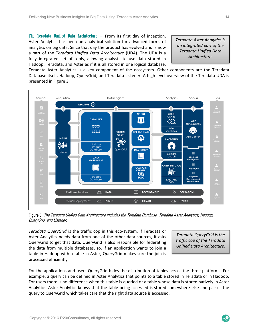The Teradata Unified Data Architecture  $-$  From its first day of inception, Aster Analytics has been an analytical solution for advanced forms of analytics on big data. Since that day the product has evolved and is now a part of the *Teradata Unified Data Architecture*  (UDA). The UDA is a fully integrated set of tools, allowing analysts to use data stored in Hadoop, Teradata, and Aster as if it is all stored in one logical database.

*Teradata Aster Analytics is an integrated part of the Teradata Unified Data Architecture.* 

Teradata Aster Analytics is a key component of the ecosystem. Other components are the Teradata Database itself, Hadoop, QueryGrid, and Teradata Listener. A high-level overview of the Teradata UDA is presented in Figure 3.



Figure 3 The Teradata Unified Data Architecture includes the Teradata Database, Teradata Aster Analytics, Hadoop, QueryGrid, and Listener.

*Teradata QueryGrid* is the traffic cop in this eco‐system. If Teradata or Aster Analytics needs data from one of the other data sources, it asks QueryGrid to get that data. QueryGrid is also responsible for federating the data from multiple databases, so, if an application wants to join a table in Hadoop with a table in Aster, QueryGrid makes sure the join is processed efficiently.

*Teradata QueryGrid is the traffic cop of the Teradata Unified Data Architecture.* 

 $R^{20}$ 

For the applications and users QueryGrid hides the distribution of tables across the three platforms. For example, a query can be defined in Aster Analytics that points to a table stored in Teradata or in Hadoop. For users there is no difference when this table is queried or a table whose data is stored natively in Aster Analytics. Aster Analytics knows that the table being accessed is stored somewhere else and passes the query to QueryGrid which takes care that the right data source is accessed.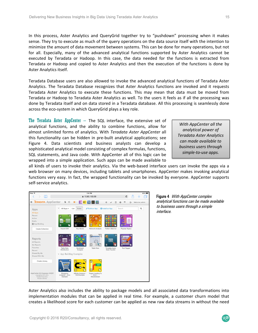In this process, Aster Analytics and QueryGrid together try to "pushdown" processing when it makes sense. They try to execute as much of the query operations on the data source itself with the intention to minimize the amount of data movement between systems. This can be done for many operations, but not for all. Especially, many of the advanced analytical functions supported by Aster Analytics cannot be executed by Teradata or Hadoop. In this case, the data needed for the functions is extracted from Teradata or Hadoop and copied to Aster Analytics and then the execution of the functions is done by Aster Analytics itself.

Teradata Database users are also allowed to invoke the advanced analytical functions of Teradata Aster Analytics. The Teradata Database recognizes that Aster Analytics functions are invoked and it requests Teradata Aster Analytics to execute these functions. This may mean that data must be moved from Teradata or Hadoop to Teradata Aster Analytics as well. To the users it feels as if all the processing was done by Teradata itself and on data stored in a Teradata database. All this processing is seamlessly done across the eco‐system in which QueryGrid plays a key role.

The Teradata Aster AppCenter  $-$  The SQL interface, the extensive set of analytical functions, and the ability to combine functions, allow for almost unlimited forms of analytics. With *Teradata Aster AppCenter* all this functionality can be hidden in pre‐built analytical applications; see Figure 4. Data scientists and business analysts can develop a sophisticated analytical model consisting of complex formulas, functions, SQL statements, and Java code. With AppCenter all of this logic can be wrapped into a simple application. Such apps can be made available to

*With AppCenter all the analytical power of Teradata Aster Analytics can made available to business users through simple‐to‐use apps.* 

all kinds of users to invoke their analytics. Via the web‐based interface users can invoke the apps via a web browser on many devices, including tablets and smartphones. AppCenter makes invoking analytical functions very easy. In fact, the wrapped functionality can be invoked by everyone. AppCenter supports self‐service analytics.

| iPad <sub>P</sub>                                                                                         |                                        |                                   | 1:54 PM                                   |                                 |                    | 83%             |
|-----------------------------------------------------------------------------------------------------------|----------------------------------------|-----------------------------------|-------------------------------------------|---------------------------------|--------------------|-----------------|
| $\mathbbm{m}$<br>8                                                                                        |                                        |                                   | ■ 10.80.163.50                            |                                 | C                  |                 |
| <b>TERADATA AppCenter</b><br>$\equiv$                                                                     | B.<br>$\odot$                          | <b>G: E</b>                       | - 2                                       | ö                               | G                  | Welcome, admin. |
| Apps<br>All Apps<br>Recent                                                                                | $\sim$<br>All Apps =                   | List<br>Icons                     | Build an App                              | <b>O</b> Install an App         | Search             | $\alpha$        |
| Active<br><b>Drafts</b><br>■ App Building                                                                 |                                        | ana                               | ٠                                         |                                 |                    |                 |
| <b>Create Collection</b>                                                                                  | Import CSV                             | Key Words                         | Network Analysis                          | Pattern Matcher                 | Popular Topics     |                 |
| Reports<br>All Reports<br>My Reports                                                                      | n                                      |                                   |                                           | ⊟                               |                    |                 |
| Favorites<br>Recent                                                                                       | <b>Table Data</b><br>Distribution      | Sentiment<br>Analysis             | <b>Table View</b>                         | Teradata-Aster<br>Data Transfer | <b>Text Tagger</b> |                 |
| Shared By Me<br>Shared With Me                                                                            | ↓ App Building Examples                |                                   |                                           |                                 |                    |                 |
| Create Library                                                                                            |                                        |                                   | 404                                       |                                 |                    |                 |
| AppCenter 6.0-Express-r44261<br>Copyright (c) 2014-2015,<br>Teradata Corporation.<br>All rights reserved. | Shopping<br>Analyzer - Java<br>Example | Affinity Analyzer -<br>SQLExample | Pages Leading To<br>Error -<br>SQLExample |                                 |                    |                 |

Figure 4 *With AppCenter complex* analytical functions can be made available to business users through a simple interface.

Aster Analytics also includes the ability to package models and all associated data transformations into implementation modules that can be applied in real time. For example, a customer churn model that creates a likelihood score for each customer can be applied as new raw data streams in without the need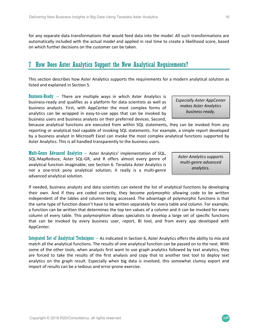for any separate data transformations that would feed data into the model. All such transformations are automatically included with the actual model and applied in real time to create a likelihood score, based on which further decisions on the customer can be taken.

#### 7 How Does Aster Analytics Support the New Analytical Requirements?

This section describes how Aster Analytics supports the requirements for a modern analytical solution as listed and explained in Section 5.

**Business-Ready** – There are multiple ways in which Aster Analytics is business‐ready and qualifies as a platform for data scientists as well as business analysts. First, with AppCenter the most complex forms of analytics can be wrapped in easy-to-use apps that can be invoked by business users and business analysts on their preferred devices. Second,

because analytical functions are executed from within SQL statements, they can be invoked from any reporting or analytical tool capable of invoking SQL statements. For example, a simple report developed by a business analyst in Microsoft Excel can invoke the most complex analytical functions supported by Aster Analytics. This is all handled transparently to the business users.

Multi-Genre Advanced Analytics – Aster Analytics' implementation of SQL, SQL-MapReduce, Aster SQL-GR, and R offers almost every genre of analytical function imaginable; see Section 6. Teradata Aster Analytics is not a one-trick pony analytical solution; it really is a multi-genre advanced analytical solution.

If needed, business analysts and data scientists can extend the list of analytical functions by developing their own. And if they are coded correctly, they become *polymorphic* allowing code to be written independent of the tables and columns being accessed. The advantage of polymorphic functions is that the same type of function doesn't have to be written separately for every table and column. For example, a function can be written that determines the top ten values of a column and it can be invoked for every column of every table. This polymorphism allows specialists to develop a large set of specific functions that can be invoked by every business user, report, BI tool, and from every app developed with AppCenter.

Integrated Set of Analytical Techniques – As indicated in Section 6, Aster Analytics offers the ability to mix and match all the analytical functions. The results of one analytical function can be passed on to the next. With some of the other tools, when analysts first want to use graph analytics followed by text analytics, they are forced to take the results of the first analysis and copy that to another text tool to deploy text analytics on the graph result. Especially when big data is involved, this somewhat clumsy export and import of results can be a tedious and error‐prone exercise.

Copyright © 2016 R20/Consultancy, all rights reserved.

*Especially Aster AppCenter makes Aster Analytics business‐ready.* 

*Aster Analytics supports multi‐genre advanced analytics.*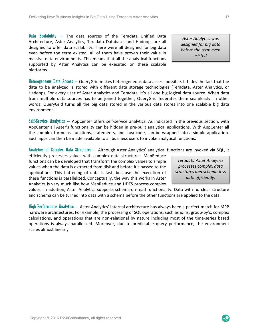Data Scalability  $-$  The data sources of the Teradata Unified Data Architecture, Aster Analytics, Teradata Database, and Hadoop, are all designed to offer data scalability. There were all designed for big data even before the term existed. All of them have proven their value in massive data environments. This means that all the analytical functions supported by Aster Analytics can be executed on these scalable platforms.

Heterogeneous Data Access – QueryGrid makes heterogeneous data access possible. It hides the fact that the data to be analyzed is stored with different data storage technologies (Teradata, Aster Analytics, or Hadoop). For every user of Aster Analytics and Teradata, it's all one big logical data source. When data from multiple data sources has to be joined together, QueryGrid federates them seamlessly. In other words, QueryGrid turns all the big data stored in the various data stores into one scalable big data environment.

Self-Service Analytics – AppCenter offers self-service analytics. As indicated in the previous section, with AppCenter all Aster's functionality can be hidden in pre‐built analytical applications. With AppCenter all the complex formulas, functions, statements, and Java code, can be wrapped into a simple application. Such apps can then be made available to all business users to invoke analytical functions.

Analytics of Complex Data Structures – Although Aster Analytics' analytical functions are invoked via SQL, it

efficiently processes values with complex data structures. MapReduce functions can be developed that transform the complex values to simple values when the data is extracted from disk and before it's passed to the applications. This flattening of data is fast, because the execution of these functions is parallelized. Conceptually, the way this works in Aster Analytics is very much like how MapReduce and HDFS process complex

*Teradata Aster Analytics processes complex data structures and schema‐less data efficiently.* 

values. In addition, Aster Analytics supports schema-on-read functionality. Data with no clear structure and schema can be turned into data with a schema before the other functions are applied to the data.

High-Performance Analytics – Aster Analytics' internal architecture has always been a perfect match for MPP hardware architectures. For example, the processing of SQL operations, such as joins, group‐by's, complex calculations, and operations that are non-relational by nature including most of the time-series based operations is always parallelized. Moreover, due to predictable query performance, the environment scales almost linearly.

*Aster Analytics was designed for big data before the term even existed.*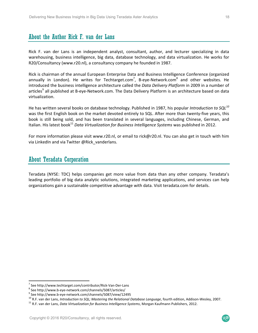## About the Author Rick F. van der Lans

Rick F. van der Lans is an independent analyst, consultant, author, and lecturer specializing in data warehousing, business intelligence, big data, database technology, and data virtualization. He works for R20/Consultancy (www.r20.nl), a consultancy company he founded in 1987.

Rick is chairman of the annual European Enterprise Data and Business Intelligence Conference (organized annually in London). He writes for Techtarget.com<sup>7</sup>, B-eye-Network.com<sup>8</sup> and other websites. He introduced the business intelligence architecture called the *Data Delivery Platform* in 2009 in a number of articles<sup>9</sup> all published at B-eye-Network.com. The Data Delivery Platform is an architecture based on data virtualization.

He has written several books on database technology. Published in 1987, his popular *Introduction to SQL<sup>10</sup>* was the first English book on the market devoted entirely to SQL. After more than twenty-five years, this book is still being sold, and has been translated in several languages, including Chinese, German, and Italian. His latest book<sup>11</sup> Data Virtualization for Business Intelligence Systems was published in 2012.

For more information please visit www.r20.nl, or email to rick@r20.nl. You can also get in touch with him via LinkedIn and via Twitter @Rick\_vanderlans.

#### About Teradata Corporation

Teradata (NYSE: TDC) helps companies get more value from data than any other company. Teradata's leading portfolio of big data analytic solutions, integrated marketing applications, and services can help organizations gain a sustainable competitive advantage with data. Visit teradata.com for details.

<sup>&</sup>lt;sup>7</sup> See http://www.techtarget.com/contributor/Rick-Van-Der-Lans<br><sup>8</sup> See http://www.b.ove.network.com/channels/5097/erticles/

See http://www.b‐eye‐network.com/channels/5087/articles/

<sup>9</sup> See http://www.b‐eye‐network.com/channels/5087/view/12495

<sup>&</sup>lt;sup>10</sup> R.F. van der Lans, *Introduction to SQL; Mastering the Relational Database Language*, fourth edition, Addison-Wesley, 2007.<br><sup>11</sup> R.F. van der Lans, *Data Virtualization for Business Intelligence Systems*, Morgan Kauf